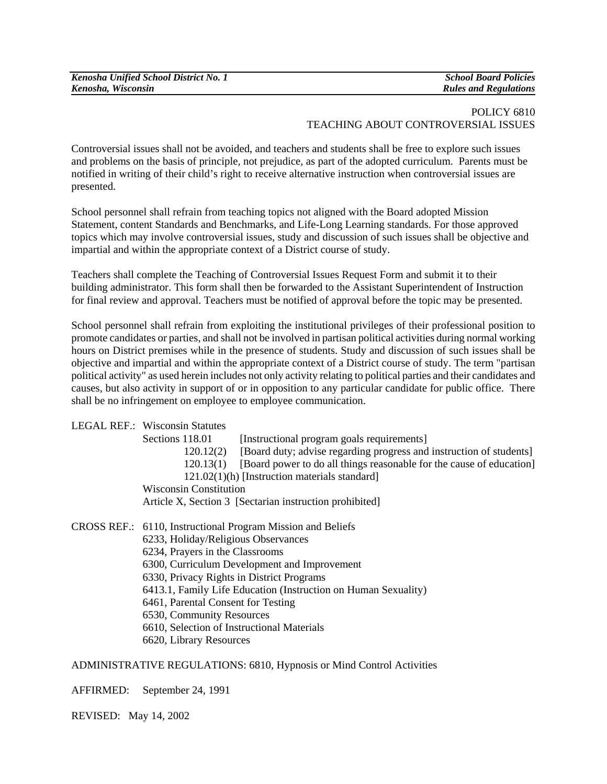| Kenosha Unified School District No. 1 | <b>School Board Policies</b> |
|---------------------------------------|------------------------------|
| Kenosha, Wisconsin                    | <b>Rules and Regulations</b> |

## POLICY 6810 TEACHING ABOUT CONTROVERSIAL ISSUES

Controversial issues shall not be avoided, and teachers and students shall be free to explore such issues and problems on the basis of principle, not prejudice, as part of the adopted curriculum. Parents must be notified in writing of their child's right to receive alternative instruction when controversial issues are presented.

School personnel shall refrain from teaching topics not aligned with the Board adopted Mission Statement, content Standards and Benchmarks, and Life-Long Learning standards. For those approved topics which may involve controversial issues, study and discussion of such issues shall be objective and impartial and within the appropriate context of a District course of study.

Teachers shall complete the Teaching of Controversial Issues Request Form and submit it to their building administrator. This form shall then be forwarded to the Assistant Superintendent of Instruction for final review and approval. Teachers must be notified of approval before the topic may be presented.

School personnel shall refrain from exploiting the institutional privileges of their professional position to promote candidates or parties, and shall not be involved in partisan political activities during normal working hours on District premises while in the presence of students. Study and discussion of such issues shall be objective and impartial and within the appropriate context of a District course of study. The term "partisan political activity" as used herein includes not only activity relating to political parties and their candidates and causes, but also activity in support of or in opposition to any particular candidate for public office. There shall be no infringement on employee to employee communication.

## LEGAL REF.: Wisconsin Statutes

Sections 118.01 [Instructional program goals requirements]

120.12(2) [Board duty; advise regarding progress and instruction of students]

120.13(1) [Board power to do all things reasonable for the cause of education]

121.02(1)(h) [Instruction materials standard]

Wisconsin Constitution

Article X, Section 3 [Sectarian instruction prohibited]

## CROSS REF.: 6110, Instructional Program Mission and Beliefs

6233, Holiday/Religious Observances

6234, Prayers in the Classrooms

6300, Curriculum Development and Improvement

6330, Privacy Rights in District Programs

6413.1, Family Life Education (Instruction on Human Sexuality)

6461, Parental Consent for Testing

6530, Community Resources

6610, Selection of Instructional Materials

6620, Library Resources

ADMINISTRATIVE REGULATIONS: 6810, Hypnosis or Mind Control Activities

AFFIRMED: September 24, 1991

REVISED: May 14, 2002